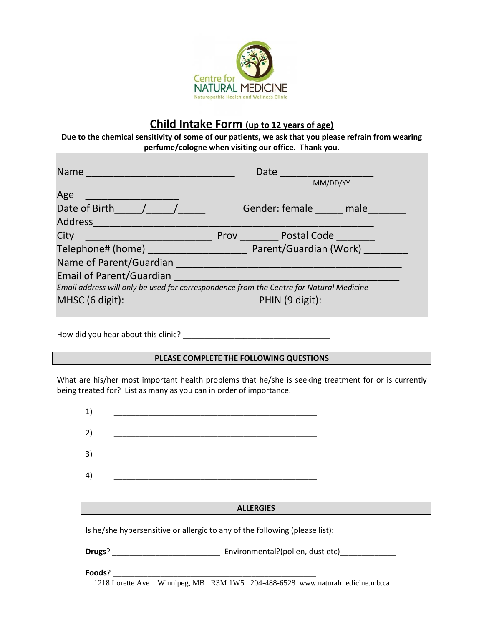

# **Child Intake Form (up to 12 years of age)**

**Due to the chemical sensitivity of some of our patients, we ask that you please refrain from wearing perfume/cologne when visiting our office. Thank you.**

| Name                                                                                    |  | Date                                                                                                                                                                                                                                 |  |  |  |  |  |
|-----------------------------------------------------------------------------------------|--|--------------------------------------------------------------------------------------------------------------------------------------------------------------------------------------------------------------------------------------|--|--|--|--|--|
|                                                                                         |  | MM/DD/YY                                                                                                                                                                                                                             |  |  |  |  |  |
| Age                                                                                     |  |                                                                                                                                                                                                                                      |  |  |  |  |  |
| Date of Birth $\left( \begin{array}{ccc} \n\end{array} \right)$                         |  | Gender: female male                                                                                                                                                                                                                  |  |  |  |  |  |
| Address                                                                                 |  |                                                                                                                                                                                                                                      |  |  |  |  |  |
| City                                                                                    |  | Prov Postal Code                                                                                                                                                                                                                     |  |  |  |  |  |
| Telephone# (home) Parent/Guardian (Work)                                                |  |                                                                                                                                                                                                                                      |  |  |  |  |  |
| Name of Parent/Guardian                                                                 |  |                                                                                                                                                                                                                                      |  |  |  |  |  |
| <b>Email of Parent/Guardian</b>                                                         |  |                                                                                                                                                                                                                                      |  |  |  |  |  |
| Email address will only be used for correspondence from the Centre for Natural Medicine |  |                                                                                                                                                                                                                                      |  |  |  |  |  |
| MHSC (6 digit):                                                                         |  | <u>PHIN (9 digit): the second second property of the second second second second second second second second second second second second second second second second second second second second second second second second sec</u> |  |  |  |  |  |

How did you hear about this clinic? \_\_\_\_\_\_\_\_\_\_\_\_\_\_\_\_\_\_\_\_\_\_\_\_\_\_\_\_\_\_\_\_\_\_

## **PLEASE COMPLETE THE FOLLOWING QUESTIONS**

What are his/her most important health problems that he/she is seeking treatment for or is currently being treated for? List as many as you can in order of importance.

| 1)                                                                                      | <u> 1989 - Johann John Stone, mars eta biztanleria (h. 1989).</u>                                                     |  |  |  |  |  |
|-----------------------------------------------------------------------------------------|-----------------------------------------------------------------------------------------------------------------------|--|--|--|--|--|
| 2)                                                                                      |                                                                                                                       |  |  |  |  |  |
| 3)                                                                                      | <u> 1989 - Johann John Stoff, deutscher Stoffen und der Stoffen und der Stoffen und der Stoffen und der Stoffen u</u> |  |  |  |  |  |
| 4)                                                                                      |                                                                                                                       |  |  |  |  |  |
|                                                                                         |                                                                                                                       |  |  |  |  |  |
|                                                                                         | <b>ALLERGIES</b>                                                                                                      |  |  |  |  |  |
| Is he/she hypersensitive or allergic to any of the following (please list):             |                                                                                                                       |  |  |  |  |  |
| <b>Drugs</b> ? <b>Environmental?(pollen, dust etc) Environmental?(pollen, dust etc)</b> |                                                                                                                       |  |  |  |  |  |
|                                                                                         |                                                                                                                       |  |  |  |  |  |
| Foods?                                                                                  |                                                                                                                       |  |  |  |  |  |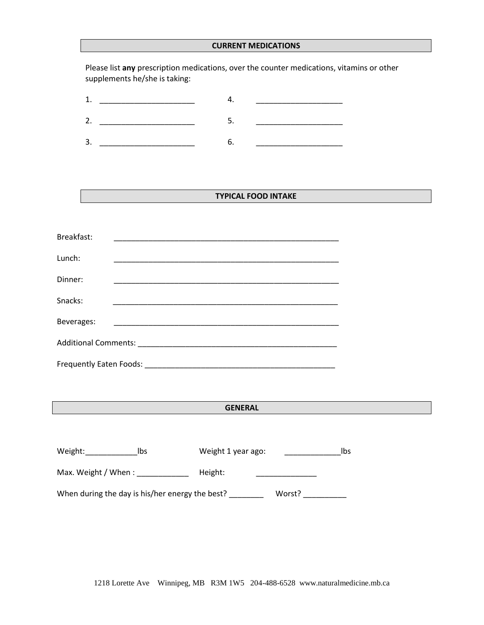#### **CURRENT MEDICATIONS**

Please list **any** prescription medications, over the counter medications, vitamins or other supplements he/she is taking:

## **TYPICAL FOOD INTAKE**

| Breakfast: |                                                                                                                     |  |  |  |  |
|------------|---------------------------------------------------------------------------------------------------------------------|--|--|--|--|
| Lunch:     |                                                                                                                     |  |  |  |  |
| Dinner:    |                                                                                                                     |  |  |  |  |
| Snacks:    |                                                                                                                     |  |  |  |  |
| Beverages: | <u> 1999 - Johann John Harry, mars eta bat eta bat eta bat eta bat eta bat ez arteko harta eta bat ez arteko ha</u> |  |  |  |  |
|            |                                                                                                                     |  |  |  |  |
|            |                                                                                                                     |  |  |  |  |

## **GENERAL**

| Weight:                                         | lbs | Weight 1 year ago: |        | lbs |
|-------------------------------------------------|-----|--------------------|--------|-----|
| Max. Weight / When :                            |     | Height:            |        |     |
| When during the day is his/her energy the best? |     |                    | Worst? |     |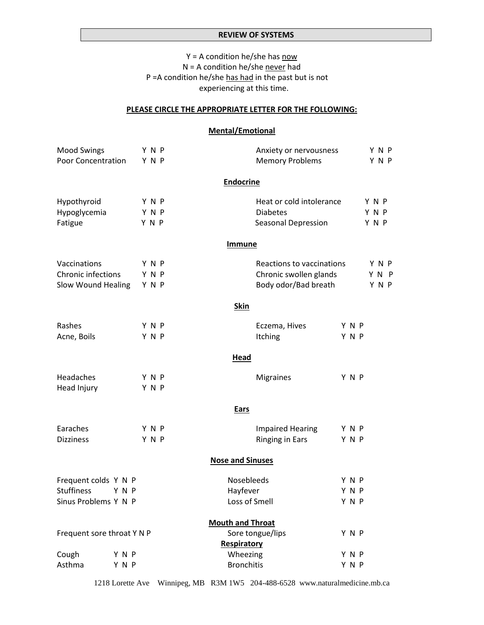## **REVIEW OF SYSTEMS**

 $Y = A$  condition he/she has now N = A condition he/she never had P =A condition he/she has had in the past but is not experiencing at this time.

#### **PLEASE CIRCLE THE APPROPRIATE LETTER FOR THE FOLLOWING:**

## **Mental/Emotional**

| <b>Mood Swings</b><br><b>Poor Concentration</b> |       | Y N P<br>YNP | Anxiety or nervousness<br><b>Memory Problems</b> |       | Y N P<br>Y N P |
|-------------------------------------------------|-------|--------------|--------------------------------------------------|-------|----------------|
|                                                 |       |              |                                                  |       |                |
|                                                 |       |              | <b>Endocrine</b>                                 |       |                |
| Hypothyroid                                     |       | Y N P        | Heat or cold intolerance                         |       | YNP            |
| Hypoglycemia                                    |       | Y N P        | <b>Diabetes</b>                                  |       | Y N P          |
| Fatigue                                         |       | Y N P        | Seasonal Depression                              |       | Y N P          |
|                                                 |       |              | <b>Immune</b>                                    |       |                |
| Vaccinations                                    |       | YNP          | Reactions to vaccinations                        |       | Y N P          |
| Chronic infections                              |       | Y N P        | Chronic swollen glands                           |       | Y N P          |
| Slow Wound Healing                              |       | Y N P        | Body odor/Bad breath                             |       | Y N P          |
|                                                 |       |              | <b>Skin</b>                                      |       |                |
| Rashes                                          |       | Y N P        | Eczema, Hives                                    | Y N P |                |
| Acne, Boils                                     |       | Y N P        | Itching                                          | Y N P |                |
|                                                 |       |              | Head                                             |       |                |
| Headaches                                       |       | YNP          | <b>Migraines</b>                                 | Y N P |                |
| Head Injury                                     |       | Y N P        |                                                  |       |                |
|                                                 |       |              | <b>Ears</b>                                      |       |                |
| Earaches                                        |       | YNP          | <b>Impaired Hearing</b>                          | Y N P |                |
| <b>Dizziness</b>                                |       | Y N P        | <b>Ringing in Ears</b>                           | Y N P |                |
|                                                 |       |              | <b>Nose and Sinuses</b>                          |       |                |
| Frequent colds Y N P                            |       |              | Nosebleeds                                       | YNP   |                |
| <b>Stuffiness</b>                               | Y N P |              | Hayfever                                         | Y N P |                |
| Sinus Problems Y N P                            |       |              | Loss of Smell                                    | Y N P |                |
|                                                 |       |              | <b>Mouth and Throat</b>                          |       |                |
| Frequent sore throat Y N P                      |       |              | Sore tongue/lips                                 | Y N P |                |
|                                                 |       |              | Respiratory                                      |       |                |
| Cough                                           | YNP   |              | Wheezing                                         | Y N P |                |
| Asthma                                          | Y N P |              | <b>Bronchitis</b>                                | Y N P |                |

1218 Lorette Ave Winnipeg, MB R3M 1W5 204-488-6528 www.naturalmedicine.mb.ca